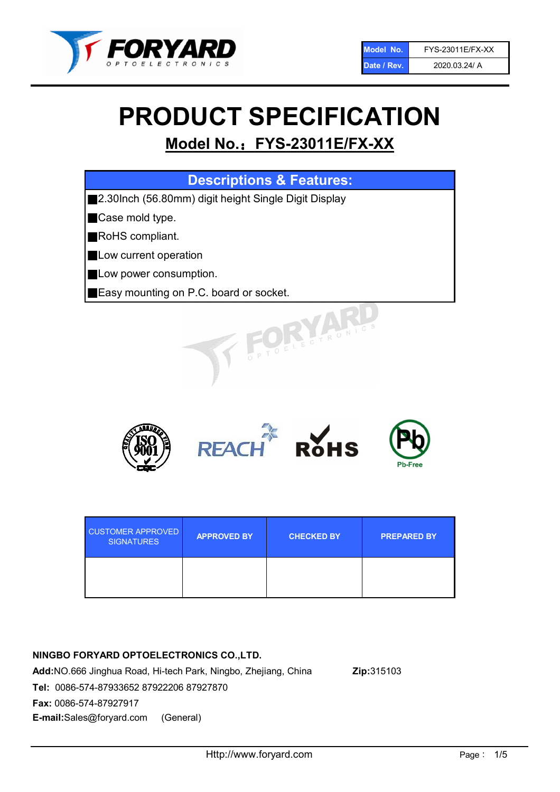

# PRODUCT SPECIFICATION

# Model No.: FYS-23011E/FX-XX

| <b>Descriptions &amp; Features:</b>                  |
|------------------------------------------------------|
| 2.30Inch (56.80mm) digit height Single Digit Display |
| Case mold type.                                      |
| RoHS compliant.                                      |
| <b>Low current operation</b>                         |
| <b>Low power consumption.</b>                        |
| Easy mounting on P.C. board or socket.               |
| TOELECTRONIC.                                        |



| <b>CUSTOMER APPROVED</b><br><b>SIGNATURES</b> | <b>APPROVED BY</b> | <b>CHECKED BY</b> | <b>PREPARED BY</b> |  |
|-----------------------------------------------|--------------------|-------------------|--------------------|--|
|                                               |                    |                   |                    |  |

# NINGBO FORYARD OPTOELECTRONICS CO.,LTD.

Add:NO.666 Jinghua Road, Hi-tech Park, Ningbo, Zhejiang, China Zip:315103 Tel: 0086-574-87933652 87922206 87927870 Fax: 0086-574-87927917 E-mail:Sales@foryard.com (General)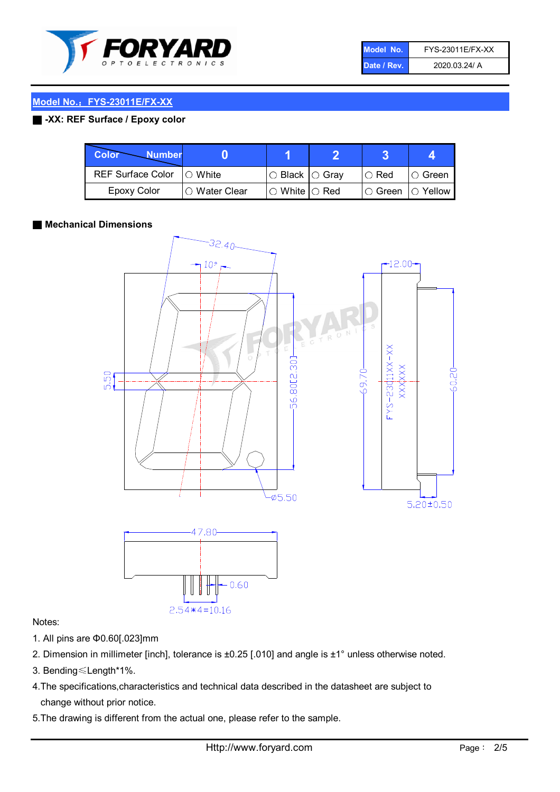

| Model No.   | FYS-23011E/FX-XX |
|-------------|------------------|
| Date / Rev. | 2020.03.24/ A    |

# Model No.: FYS-23011E/FX-XX

# ■ -XX: REF Surface / Epoxy color

| <b>Color</b><br><b>Number</b> |                 |                            | ŋ |               |                |
|-------------------------------|-----------------|----------------------------|---|---------------|----------------|
| <b>REF Surface Color</b>      | $\bigcap$ White | $\circ$ Black $\circ$ Gray |   | $\circ$ Red   | $\circ$ Green  |
| <b>Epoxy Color</b>            | ○ Water Clear   | $\circ$ White $\circ$ Red  |   | $\circ$ Green | $\circ$ Yellow |

#### ■ Mechanical Dimensions



#### Notes:

- 1. All pins are Φ0.60[.023]mm
- 2. Dimension in millimeter [inch], tolerance is ±0.25 [.010] and angle is ±1° unless otherwise noted.
- 3. Bending≤Length\*1%.
- 4.The specifications,characteristics and technical data described in the datasheet are subject to change without prior notice.
- 5.The drawing is different from the actual one, please refer to the sample.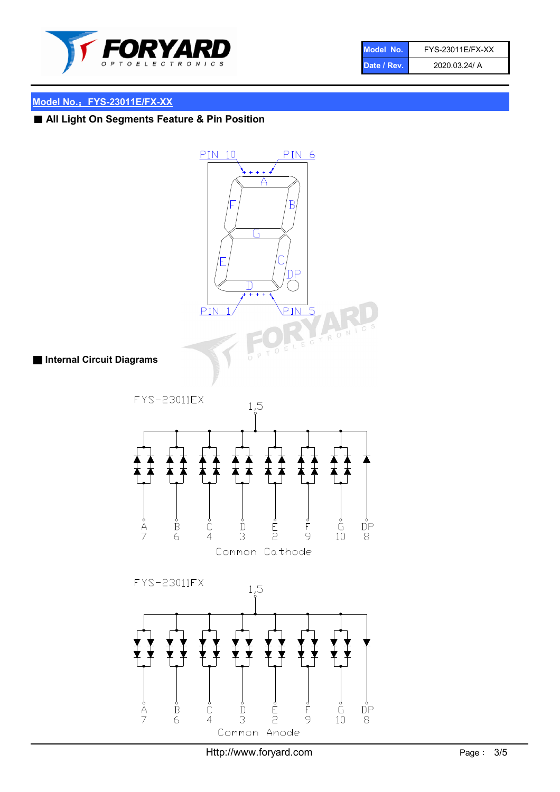

| Model No.   | FYS-23011E/FX-XX |
|-------------|------------------|
| Date / Rev. | 2020.03.24/ A    |

# Model No.: FYS-23011E/FX-XX

# ■ All Light On Segments Feature & Pin Position

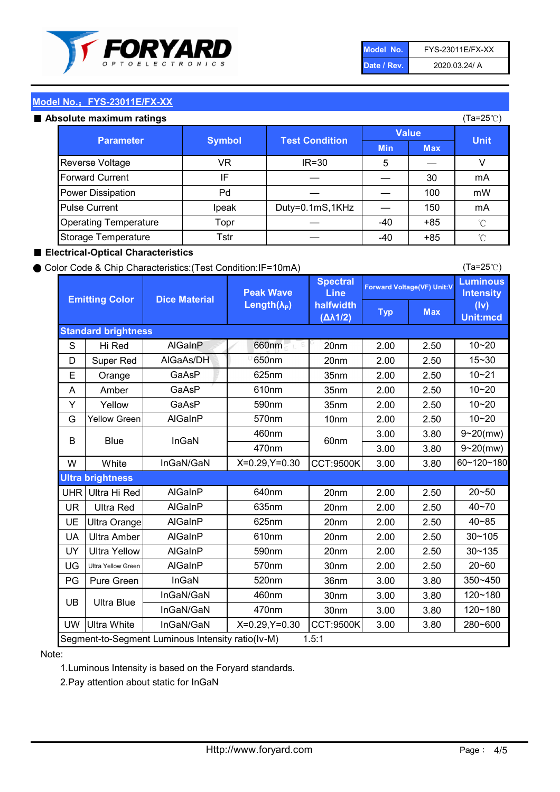

| Model No.   | FYS-23011E/FX-XX |
|-------------|------------------|
| Date / Rev. | 2020.03.24/ A    |

(Ta=25℃)

# Model No.: FYS-23011E/FX-XX

| Absolute maximum ratings     |               |                       |              | (Ta=25℃)   |             |
|------------------------------|---------------|-----------------------|--------------|------------|-------------|
| <b>Parameter</b>             | <b>Symbol</b> | <b>Test Condition</b> | <b>Value</b> |            | <b>Unit</b> |
|                              |               |                       | <b>Min</b>   | <b>Max</b> |             |
| <b>Reverse Voltage</b>       | VR            | $IR = 30$             | 5            |            |             |
| <b>Forward Current</b>       | IF            |                       |              | 30         | mA          |
| Power Dissipation            | Pd            |                       |              | 100        | mW          |
| <b>Pulse Current</b>         | Ipeak         | Duty=0.1mS,1KHz       |              | 150        | mA          |
| <b>Operating Temperature</b> | Topr          |                       | $-40$        | $+85$      | °C          |
| Storage Temperature          | Tstr          |                       | -40          | $+85$      | °C          |

#### ■ Electrical-Optical Characteristics

#### ● Color Code & Chip Characteristics:(Test Condition:IF=10mA)

Typ Max S | Hi $\textsf{Red}$  | AlGaInP | 660nm LE 20nm | 2.00 | 2.50 D | Super Red | AIGaAs/DH | 650nm | 20nm | 2.00 | 2.50 E | Orange | GaAsP | 625nm | 35nm | 2.00 | 2.50 A | Amber | GaAsP | 610nm | 35nm | 2.00 | 2.50 Y | Yellow | GaAsP | 590nm | 35nm | 2.00 | 2.50 G Yellow Green AIGaInP | 570nm | 10nm | 2.00 | 2.50 3.00 3.80 3.00 3.80 W | White | InGaN/GaN | X=0.29,Y=0.30 |CCT:9500K| 3.00 | 3.80 UHR Ultra Hi Red  $\vert$  AIGaInP  $\vert$  640nm  $\vert$  20nm  $\vert$  2.00  $\vert$  2.50 UR | Ultra Red | AlGaInP | 635nm | 20nm | 2.00 | 2.50 UE Ultra Orange | AIGaInP | 625nm | 20nm | 2.00 | 2.50 UA Ultra Amber | AIGaInP | 610nm | 20nm | 2.00 | 2.50  $UV$  Ultra Yellow  $\vert$  AlGaInP  $\vert$  590nm  $\vert$  20nm  $\vert$  2.00  $\vert$  2.50  $\text{UG}$  Ultra Yellow Green | AIGaInP | 570nm | 30nm | 2.00 | 2.50 PG Pure Green | InGaN | 520nm | 36nm | 3.00 | 3.80 30nm 3.00 3.80 30nm 3.00 3.80 UW |Ultra White | InGaN/GaN | X=0.29,Y=0.30 |CCT:9500K| 3.00 | 3.80 40~85 60~120~180 40~70 Segment-to-Segment Luminous Intensity ratio(Iv-M) 1.5:1 610nm 9~20(mw) 350~450 470nm 120~180 120~180 Ultra Blue InGaN/GaN InGaN/GaN 9~20(mw) 20~50 280~600 570nm | 30nm | 2.00 | 2.50 | 20~60 470nm 590nm InGaN/GaN B Blue I InGaN 570nm | 10nm | 2.00 | 2.50 | 10~20 30~105 30~135 460nm 520nm Ultra brightness **AlGaInP** AlGaInP 60nm AlGaInP 640nm Peak Wave Length $(\lambda_{\rm P})$ UB 460nm 635nm AlGaInP AlGaInP AlGaInP InGaN/GaN AlGaInP 10~20 Luminous **Intensity** (Iv) Unit:mcd AlGainP 660nm GaAsP GaAsP AlGaAs/DH **Spectral** Line halfwidth (∆λ1/2) 10~20 Standard brightness Forward Voltage(VF) Unit:V 15~30 10~20 625nm GaAsP 590nm **Emitting Color Dice Material** 10~21 610nm

#### Note:

1.Luminous Intensity is based on the Foryard standards.

2.Pay attention about static for InGaN